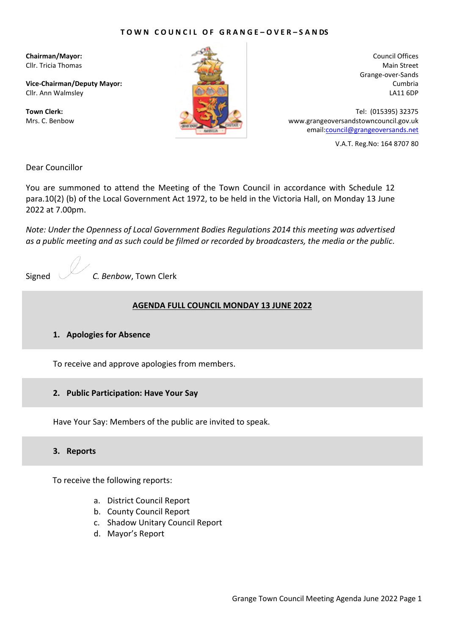### **T O W N C O U N C I L O F G R A N G E – O V E R – S A N DS**

**Chairman/Mayor:** Cllr. Tricia Thomas

**Vice-Chairman/Deputy Mayor:** Cllr. Ann Walmsley

**Town Clerk:** Mrs. C. Benbow



Council Offices Main Street Grange-over-Sands Cumbria LA11 6DP

Tel: (015395) 32375 www.grangeoversandstowncouncil.gov.uk email[:council@grangeoversands.net](mailto:council@grangeoversands.net)

V.A.T. Reg.No: 164 8707 80

Dear Councillor

You are summoned to attend the Meeting of the Town Council in accordance with Schedule 12 para.10(2) (b) of the Local Government Act 1972, to be held in the Victoria Hall, on Monday 13 June 2022 at 7.00pm.

*Note: Under the Openness of Local Government Bodies Regulations 2014 this meeting was advertised as a public meeting and as such could be filmed or recorded by broadcasters, the media or the public.*

Signed *C. Benbow*, Town Clerk

#### **AGENDA FULL COUNCIL MONDAY 13 JUNE 2022**

#### **1. Apologies for Absence**

To receive and approve apologies from members.

### **2. Public Participation: Have Your Say**

Have Your Say: Members of the public are invited to speak.

#### **3. Reports**

To receive the following reports:

- a. District Council Report
- b. County Council Report
- c. Shadow Unitary Council Report
- d. Mayor's Report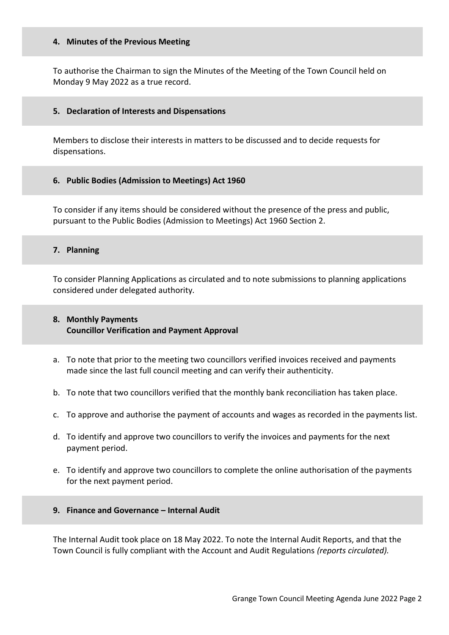### **4. Minutes of the Previous Meeting**

To authorise the Chairman to sign the Minutes of the Meeting of the Town Council held on Monday 9 May 2022 as a true record.

### **5. Declaration of Interests and Dispensations**

Members to disclose their interests in matters to be discussed and to decide requests for dispensations.

# **6. Public Bodies (Admission to Meetings) Act 1960**

To consider if any items should be considered without the presence of the press and public, pursuant to the Public Bodies (Admission to Meetings) Act 1960 Section 2.

### **7. Planning**

To consider Planning Applications as circulated and to note submissions to planning applications considered under delegated authority*.*

# **8. Monthly Payments Councillor Verification and Payment Approval**

- a. To note that prior to the meeting two councillors verified invoices received and payments made since the last full council meeting and can verify their authenticity.
- b. To note that two councillors verified that the monthly bank reconciliation has taken place.
- c. To approve and authorise the payment of accounts and wages as recorded in the payments list.
- d. To identify and approve two councillors to verify the invoices and payments for the next payment period.
- e. To identify and approve two councillors to complete the online authorisation of the payments for the next payment period.

### **9. Finance and Governance – Internal Audit**

The Internal Audit took place on 18 May 2022. To note the Internal Audit Reports, and that the Town Council is fully compliant with the Account and Audit Regulations *(reports circulated).*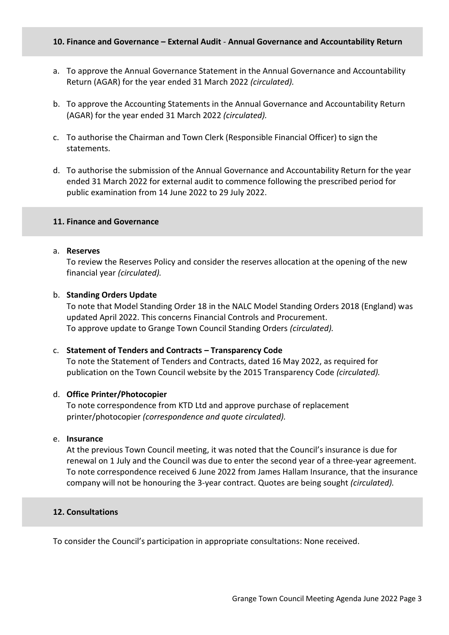### **10. Finance and Governance – External Audit** - **Annual Governance and Accountability Return**

- a. To approve the Annual Governance Statement in the Annual Governance and Accountability Return (AGAR) for the year ended 31 March 2022 *(circulated).*
- b. To approve the Accounting Statements in the Annual Governance and Accountability Return (AGAR) for the year ended 31 March 2022 *(circulated).*
- c. To authorise the Chairman and Town Clerk (Responsible Financial Officer) to sign the statements.
- d. To authorise the submission of the Annual Governance and Accountability Return for the year ended 31 March 2022 for external audit to commence following the prescribed period for public examination from 14 June 2022 to 29 July 2022.

### **11. Finance and Governance**

### a. **Reserves**

To review the Reserves Policy and consider the reserves allocation at the opening of the new financial year *(circulated).*

### b. **Standing Orders Update**

To note that Model Standing Order 18 in the NALC Model Standing Orders 2018 (England) was updated April 2022. This concerns Financial Controls and Procurement. To approve update to Grange Town Council Standing Orders *(circulated).*

### c. **Statement of Tenders and Contracts – Transparency Code**

To note the Statement of Tenders and Contracts, dated 16 May 2022, as required for publication on the Town Council website by the 2015 Transparency Code *(circulated).*

### d. **Office Printer/Photocopier**

To note correspondence from KTD Ltd and approve purchase of replacement printer/photocopier *(correspondence and quote circulated).*

### e. **Insurance**

At the previous Town Council meeting, it was noted that the Council's insurance is due for renewal on 1 July and the Council was due to enter the second year of a three-year agreement. To note correspondence received 6 June 2022 from James Hallam Insurance, that the insurance company will not be honouring the 3-year contract. Quotes are being sought *(circulated).*

### **12. Consultations**

To consider the Council's participation in appropriate consultations: None received.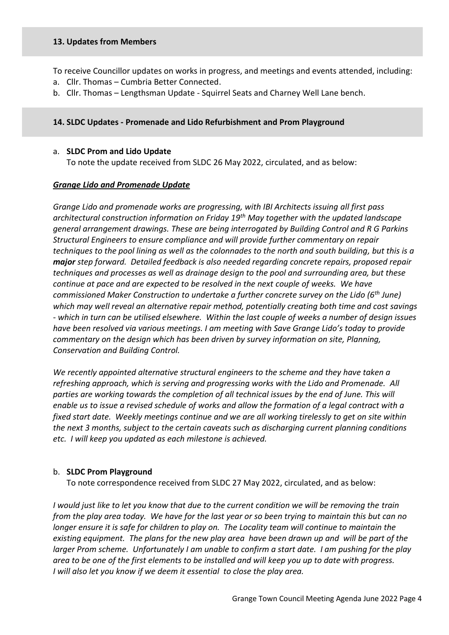### **13. Updates from Members**

To receive Councillor updates on works in progress, and meetings and events attended, including:

- a. Cllr. Thomas Cumbria Better Connected.
- b. Cllr. Thomas Lengthsman Update Squirrel Seats and Charney Well Lane bench.

# **14. SLDC Updates - Promenade and Lido Refurbishment and Prom Playground**

### a. **SLDC Prom and Lido Update**

To note the update received from SLDC 26 May 2022, circulated, and as below:

### *Grange Lido and Promenade Update*

*Grange Lido and promenade works are progressing, with IBI Architects issuing all first pass architectural construction information on Friday 19th May together with the updated landscape general arrangement drawings. These are being interrogated by Building Control and R G Parkins Structural Engineers to ensure compliance and will provide further commentary on repair techniques to the pool lining as well as the colonnades to the north and south building, but this is a major step forward. Detailed feedback is also needed regarding concrete repairs, proposed repair techniques and processes as well as drainage design to the pool and surrounding area, but these continue at pace and are expected to be resolved in the next couple of weeks. We have commissioned Maker Construction to undertake a further concrete survey on the Lido (6th June) which may well reveal an alternative repair method, potentially creating both time and cost savings - which in turn can be utilised elsewhere. Within the last couple of weeks a number of design issues have been resolved via various meetings. I am meeting with Save Grange Lido's today to provide commentary on the design which has been driven by survey information on site, Planning, Conservation and Building Control.* 

*We recently appointed alternative structural engineers to the scheme and they have taken a refreshing approach, which is serving and progressing works with the Lido and Promenade. All parties are working towards the completion of all technical issues by the end of June. This will enable us to issue a revised schedule of works and allow the formation of a legal contract with a fixed start date. Weekly meetings continue and we are all working tirelessly to get on site within the next 3 months, subject to the certain caveats such as discharging current planning conditions etc. I will keep you updated as each milestone is achieved.*

# b. **SLDC Prom Playground**

To note correspondence received from SLDC 27 May 2022, circulated, and as below:

*I* would just like to let you know that due to the current condition we will be removing the train *from the play area today. We have for the last year or so been trying to maintain this but can no longer ensure it is safe for children to play on. The Locality team will continue to maintain the existing equipment. The plans for the new play area have been drawn up and will be part of the larger Prom scheme. Unfortunately I am unable to confirm a start date. I am pushing for the play area to be one of the first elements to be installed and will keep you up to date with progress. I will also let you know if we deem it essential to close the play area.*